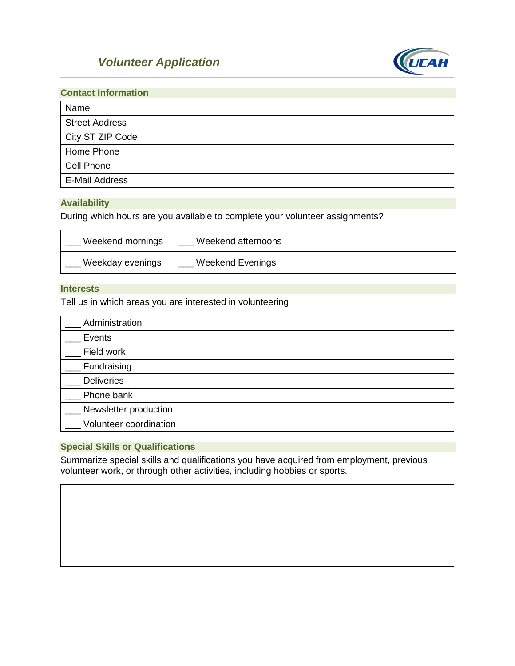# *Volunteer Application*



| <b>Contact Information</b> |  |
|----------------------------|--|
| Name                       |  |
| <b>Street Address</b>      |  |
| City ST ZIP Code           |  |
| Home Phone                 |  |
| Cell Phone                 |  |
| <b>E-Mail Address</b>      |  |

# **Availability**

During which hours are you available to complete your volunteer assignments?

| Weekend mornings | Weekend afternoons      |
|------------------|-------------------------|
| Weekday evenings | <b>Weekend Evenings</b> |

### **Interests**

Tell us in which areas you are interested in volunteering

| Administration         |  |
|------------------------|--|
| Events                 |  |
| Field work             |  |
| Fundraising            |  |
| <b>Deliveries</b>      |  |
| Phone bank             |  |
| Newsletter production  |  |
| Volunteer coordination |  |

# **Special Skills or Qualifications**

Summarize special skills and qualifications you have acquired from employment, previous volunteer work, or through other activities, including hobbies or sports.